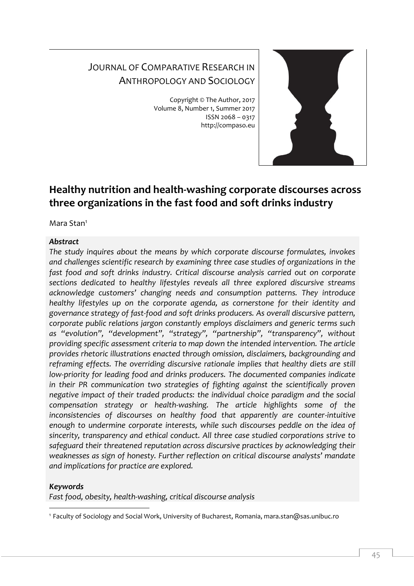# JOURNAL OF COMPARATIVE RESEARCH IN ANTHROPOLOGY AND SOCIOLOGY

Copyright © The Author, 2017 Volume 8, Number 1, Summer 2017 ISSN 2068 – 0317 http://compaso.eu



## **Healthy nutrition and health-washing corporate discourses across three organizations in the fast food and soft drinks industry**

Mara Stan<sup>1</sup>

## *Abstract*

*The study inquires about the means by which corporate discourse formulates, invokes and challenges scientific research by examining three case studies of organizations in the fast food and soft drinks industry. Critical discourse analysis carried out on corporate sections dedicated to healthy lifestyles reveals all three explored discursive streams acknowledge customers' changing needs and consumption patterns. They introduce healthy lifestyles up on the corporate agenda, as cornerstone for their identity and governance strategy of fast-food and soft drinks producers. As overall discursive pattern, corporate public relations jargon constantly employs disclaimers and generic terms such as "evolution", "development", "strategy", "partnership", "transparency", without providing specific assessment criteria to map down the intended intervention. The article provides rhetoric illustrations enacted through omission, disclaimers, backgrounding and reframing effects. The overriding discursive rationale implies that healthy diets are still low-priority for leading food and drinks producers. The documented companies indicate in their PR communication two strategies of fighting against the scientifically proven negative impact of their traded products: the individual choice paradigm and the social compensation strategy or health-washing. The article highlights some of the inconsistencies of discourses on healthy food that apparently are counter-intuitive enough to undermine corporate interests, while such discourses peddle on the idea of sincerity, transparency and ethical conduct. All three case studied corporations strive to safeguard their threatened reputation across discursive practices by acknowledging their weaknesses as sign of honesty. Further reflection on critical discourse analysts' mandate and implications for practice are explored.*

## *Keywords*

*Fast food, obesity, health-washing, critical discourse analysis*

<sup>-</sup><sup>1</sup> Faculty of Sociology and Social Work, University of Bucharest, Romania, mara.stan@sas.unibuc.ro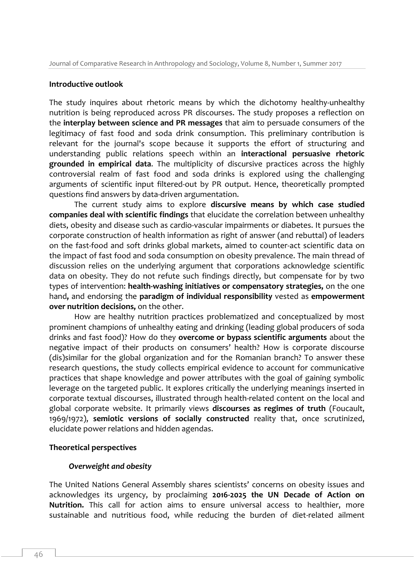#### **Introductive outlook**

The study inquires about rhetoric means by which the dichotomy healthy-unhealthy nutrition is being reproduced across PR discourses. The study proposes a reflection on the **interplay between science and PR messages** that aim to persuade consumers of the legitimacy of fast food and soda drink consumption. This preliminary contribution is relevant for the journal's scope because it supports the effort of structuring and understanding public relations speech within an **interactional persuasive rhetoric grounded in empirical data**. The multiplicity of discursive practices across the highly controversial realm of fast food and soda drinks is explored using the challenging arguments of scientific input filtered-out by PR output. Hence, theoretically prompted questions find answers by data-driven argumentation.

The current study aims to explore **discursive means by which case studied companies deal with scientific findings** that elucidate the correlation between unhealthy diets, obesity and disease such as cardio-vascular impairments or diabetes. It pursues the corporate construction of health information as right of answer (and rebuttal) of leaders on the fast-food and soft drinks global markets, aimed to counter-act scientific data on the impact of fast food and soda consumption on obesity prevalence. The main thread of discussion relies on the underlying argument that corporations acknowledge scientific data on obesity. They do not refute such findings directly, but compensate for by two types of intervention: **health-washing initiatives or compensatory strategies,** on the one hand**,** and endorsing the **paradigm of individual responsibility** vested as **empowerment over nutrition decisions,** on the other.

How are healthy nutrition practices problematized and conceptualized by most prominent champions of unhealthy eating and drinking (leading global producers of soda drinks and fast food)? How do they **overcome or bypass scientific arguments** about the negative impact of their products on consumers' health? How is corporate discourse (dis)similar for the global organization and for the Romanian branch? To answer these research questions, the study collects empirical evidence to account for communicative practices that shape knowledge and power attributes with the goal of gaining symbolic leverage on the targeted public. It explores critically the underlying meanings inserted in corporate textual discourses, illustrated through health-related content on the local and global corporate website. It primarily views **discourses as regimes of truth** (Foucault, 1969/1972), **semiotic versions of socially constructed** reality that, once scrutinized, elucidate power relations and hidden agendas.

#### **Theoretical perspectives**

#### *Overweight and obesity*

The United Nations General Assembly shares scientists' concerns on obesity issues and acknowledges its urgency, by proclaiming **2016-2025 the UN Decade of Action on Nutrition.** This call for action aims to ensure universal access to healthier, more sustainable and nutritious food, while reducing the burden of diet-related ailment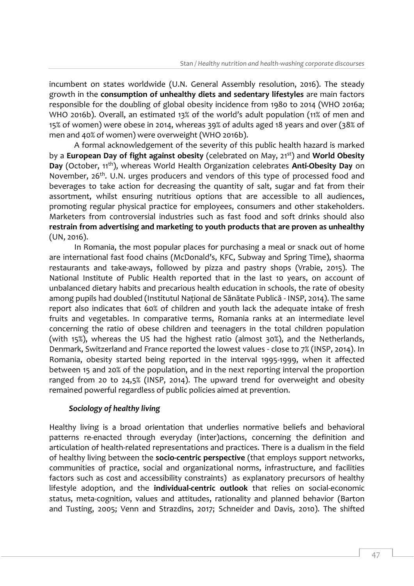incumbent on states worldwide (U.N. General Assembly resolution, 2016). The steady growth in the **consumption of unhealthy diets and sedentary lifestyles** are main factors responsible for the doubling of global obesity incidence from 1980 to 2014 (WHO 2016a; WHO 2016b). Overall, an estimated 13% of the world's adult population (11% of men and 15% of women) were obese in 2014, whereas 39% of adults aged 18 years and over (38% of men and 40% of women) were overweight (WHO 2016b).

A formal acknowledgement of the severity of this public health hazard is marked by a **European Day of fight against obesity** (celebrated on May, 21st) and **World Obesity Day** (October, 11<sup>th</sup>), whereas World Health Organization celebrates **Anti-Obesity Day** on November, 26<sup>th</sup>. U.N. urges producers and vendors of this type of processed food and beverages to take action for decreasing the quantity of salt, sugar and fat from their assortment, whilst ensuring nutritious options that are accessible to all audiences, promoting regular physical practice for employees, consumers and other stakeholders. Marketers from controversial industries such as fast food and soft drinks should also **restrain from advertising and marketing to youth products that are proven as unhealthy** (UN, 2016).

In Romania, the most popular places for purchasing a meal or snack out of home are international fast food chains (McDonald's, KFC, Subway and Spring Time), shaorma restaurants and take-aways, followed by pizza and pastry shops (Vrabie, 2015). The National Institute of Public Health reported that in the last 10 years, on account of unbalanced dietary habits and precarious health education in schools, the rate of obesity among pupils had doubled (Institutul National de Sănătate Publică - INSP, 2014). The same report also indicates that 60% of children and youth lack the adequate intake of fresh fruits and vegetables. In comparative terms, Romania ranks at an intermediate level concerning the ratio of obese children and teenagers in the total children population (with 15%), whereas the US had the highest ratio (almost 30%), and the Netherlands, Denmark, Switzerland and France reported the lowest values - close to 7% (INSP, 2014). In Romania, obesity started being reported in the interval 1995-1999, when it affected between 15 and 20% of the population, and in the next reporting interval the proportion ranged from 20 to 24,5% (INSP, 2014). The upward trend for overweight and obesity remained powerful regardless of public policies aimed at prevention.

#### *Sociology of healthy living*

Healthy living is a broad orientation that underlies normative beliefs and behavioral patterns re-enacted through everyday (inter)actions, concerning the definition and articulation of health-related representations and practices. There is a dualism in the field of healthy living between the **socio-centric perspective** (that employs support networks, communities of practice, social and organizational norms, infrastructure, and facilities factors such as cost and accessibility constraints) as explanatory precursors of healthy lifestyle adoption, and the **individual-centric outlook** that relies on social-economic status, meta-cognition, values and attitudes, rationality and planned behavior (Barton and Tusting, 2005; Venn and Strazdins, 2017; Schneider and Davis, 2010). The shifted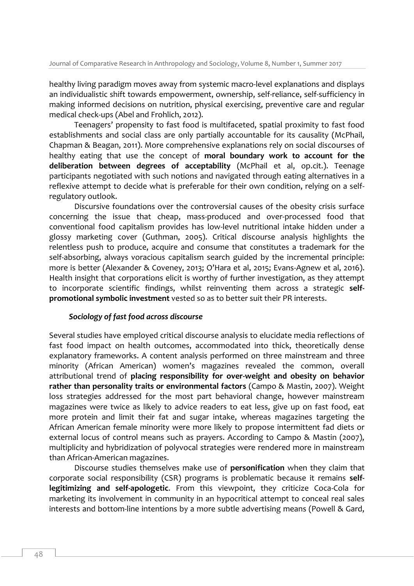healthy living paradigm moves away from systemic macro-level explanations and displays an individualistic shift towards empowerment, ownership, self-reliance, self-sufficiency in making informed decisions on nutrition, physical exercising, preventive care and regular medical check-ups (Abel and Frohlich, 2012).

Teenagers' propensity to fast food is multifaceted, spatial proximity to fast food establishments and social class are only partially accountable for its causality (McPhail, Chapman & Beagan, 2011). More comprehensive explanations rely on social discourses of healthy eating that use the concept of **moral boundary work to account for the deliberation between degrees of acceptability** (McPhail et al, op.cit.). Teenage participants negotiated with such notions and navigated through eating alternatives in a reflexive attempt to decide what is preferable for their own condition, relying on a selfregulatory outlook.

Discursive foundations over the controversial causes of the obesity crisis surface concerning the issue that cheap, mass-produced and over-processed food that conventional food capitalism provides has low-level nutritional intake hidden under a glossy marketing cover (Guthman, 2005). Critical discourse analysis highlights the relentless push to produce, acquire and consume that constitutes a trademark for the self-absorbing, always voracious capitalism search guided by the incremental principle: more is better (Alexander & Coveney, 2013; O'Hara et al, 2015; Evans-Agnew et al, 2016). Health insight that corporations elicit is worthy of further investigation, as they attempt to incorporate scientific findings, whilst reinventing them across a strategic **selfpromotional symbolic investment** vested so as to better suit their PR interests.

## *Sociology of fast food across discourse*

Several studies have employed critical discourse analysis to elucidate media reflections of fast food impact on health outcomes, accommodated into thick, theoretically dense explanatory frameworks. A content analysis performed on three mainstream and three minority (African American) women's magazines revealed the common, overall attributional trend of **placing responsibility for over-weight and obesity on behavior rather than personality traits or environmental factors** (Campo & Mastin, 2007). Weight loss strategies addressed for the most part behavioral change, however mainstream magazines were twice as likely to advice readers to eat less, give up on fast food, eat more protein and limit their fat and sugar intake, whereas magazines targeting the African American female minority were more likely to propose intermittent fad diets or external locus of control means such as prayers. According to Campo & Mastin (2007), multiplicity and hybridization of polyvocal strategies were rendered more in mainstream than African-American magazines.

Discourse studies themselves make use of **personification** when they claim that corporate social responsibility (CSR) programs is problematic because it remains **selflegitimizing and self-apologetic**. From this viewpoint, they criticize Coca-Cola for marketing its involvement in community in an hypocritical attempt to conceal real sales interests and bottom-line intentions by a more subtle advertising means (Powell & Gard,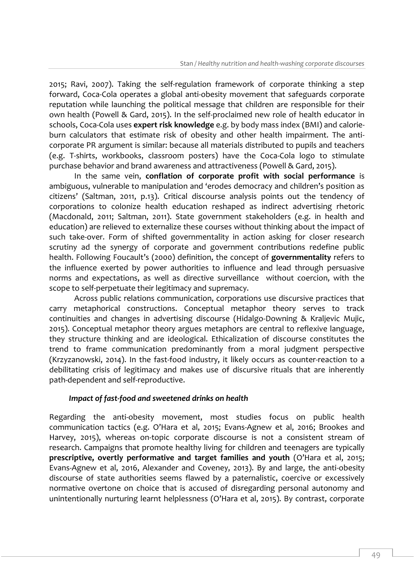2015; Ravi, 2007). Taking the self-regulation framework of corporate thinking a step forward, Coca-Cola operates a global anti-obesity movement that safeguards corporate reputation while launching the political message that children are responsible for their own health (Powell & Gard, 2015). In the self-proclaimed new role of health educator in schools, Coca-Cola uses **expert risk knowledge** e.g. by body mass index (BMI) and calorieburn calculators that estimate risk of obesity and other health impairment. The anticorporate PR argument is similar: because all materials distributed to pupils and teachers (e.g. T-shirts, workbooks, classroom posters) have the Coca-Cola logo to stimulate purchase behavior and brand awareness and attractiveness (Powell & Gard, 2015).

In the same vein, **conflation of corporate profit with social performance** is ambiguous, vulnerable to manipulation and 'erodes democracy and children's position as citizens' (Saltman, 2011, p.13). Critical discourse analysis points out the tendency of corporations to colonize health education reshaped as indirect advertising rhetoric (Macdonald, 2011; Saltman, 2011). State government stakeholders (e.g. in health and education) are relieved to externalize these courses without thinking about the impact of such take-over. Form of shifted governmentality in action asking for closer research scrutiny ad the synergy of corporate and government contributions redefine public health. Following Foucault's (2000) definition, the concept of **governmentality** refers to the influence exerted by power authorities to influence and lead through persuasive norms and expectations, as well as directive surveillance without coercion, with the scope to self-perpetuate their legitimacy and supremacy.

Across public relations communication, corporations use discursive practices that carry metaphorical constructions. Conceptual metaphor theory serves to track continuities and changes in advertising discourse (Hidalgo-Downing & Kraljevic Mujic, 2015). Conceptual metaphor theory argues metaphors are central to reflexive language, they structure thinking and are ideological. Ethicalization of discourse constitutes the trend to frame communication predominantly from a moral judgment perspective (Krzyzanowski, 2014). In the fast-food industry, it likely occurs as counter-reaction to a debilitating crisis of legitimacy and makes use of discursive rituals that are inherently path-dependent and self-reproductive.

#### *Impact of fast-food and sweetened drinks on health*

Regarding the anti-obesity movement, most studies focus on public health communication tactics (e.g. O'Hara et al, 2015; Evans-Agnew et al, 2016; Brookes and Harvey, 2015), whereas on-topic corporate discourse is not a consistent stream of research. Campaigns that promote healthy living for children and teenagers are typically **prescriptive, overtly performative and target families and youth** (O'Hara et al, 2015; Evans-Agnew et al, 2016, Alexander and Coveney, 2013). By and large, the anti-obesity discourse of state authorities seems flawed by a paternalistic, coercive or excessively normative overtone on choice that is accused of disregarding personal autonomy and unintentionally nurturing learnt helplessness (O'Hara et al, 2015). By contrast, corporate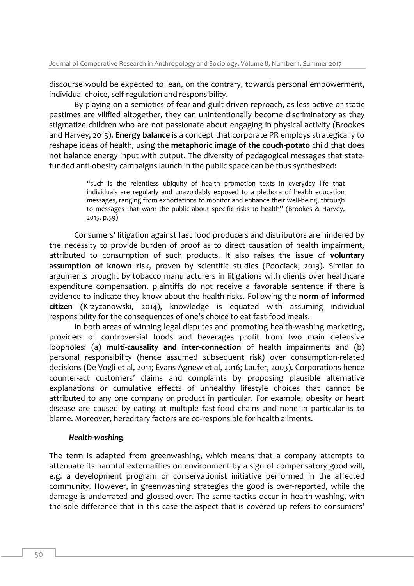discourse would be expected to lean, on the contrary, towards personal empowerment, individual choice, self-regulation and responsibility.

By playing on a semiotics of fear and guilt-driven reproach, as less active or static pastimes are vilified altogether, they can unintentionally become discriminatory as they stigmatize children who are not passionate about engaging in physical activity (Brookes and Harvey, 2015). **Energy balance** is a concept that corporate PR employs strategically to reshape ideas of health, using the **metaphoric image of the couch-potato** child that does not balance energy input with output. The diversity of pedagogical messages that statefunded anti-obesity campaigns launch in the public space can be thus synthesized:

> "such is the relentless ubiquity of health promotion texts in everyday life that individuals are regularly and unavoidably exposed to a plethora of health education messages, ranging from exhortations to monitor and enhance their well-being, through to messages that warn the public about specific risks to health" (Brookes & Harvey, 2015, p.59)

Consumers' litigation against fast food producers and distributors are hindered by the necessity to provide burden of proof as to direct causation of health impairment, attributed to consumption of such products. It also raises the issue of **voluntary assumption of known ris**k, proven by scientific studies (Poodiack, 2013). Similar to arguments brought by tobacco manufacturers in litigations with clients over healthcare expenditure compensation, plaintiffs do not receive a favorable sentence if there is evidence to indicate they know about the health risks. Following the **norm of informed citizen** (Krzyzanowski, 2014), knowledge is equated with assuming individual responsibility for the consequences of one's choice to eat fast-food meals.

In both areas of winning legal disputes and promoting health-washing marketing, providers of controversial foods and beverages profit from two main defensive loopholes: (a) **multi-causality and inter-connection** of health impairments and (b) personal responsibility (hence assumed subsequent risk) over consumption-related decisions (De Vogli et al, 2011; Evans-Agnew et al, 2016; Laufer, 2003). Corporations hence counter-act customers' claims and complaints by proposing plausible alternative explanations or cumulative effects of unhealthy lifestyle choices that cannot be attributed to any one company or product in particular. For example, obesity or heart disease are caused by eating at multiple fast-food chains and none in particular is to blame. Moreover, hereditary factors are co-responsible for health ailments.

#### *Health-washing*

The term is adapted from greenwashing, which means that a company attempts to attenuate its harmful externalities on environment by a sign of compensatory good will, e.g. a development program or conservationist initiative performed in the affected community. However, in greenwashing strategies the good is over-reported, while the damage is underrated and glossed over. The same tactics occur in health-washing, with the sole difference that in this case the aspect that is covered up refers to consumers'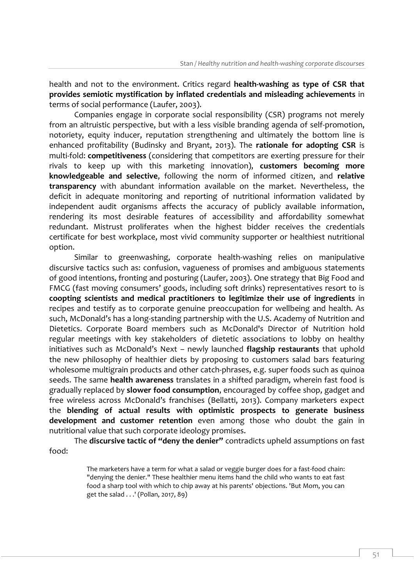health and not to the environment. Critics regard **health-washing as type of CSR that provides semiotic mystification by inflated credentials and misleading achievements** in terms of social performance (Laufer, 2003).

Companies engage in corporate social responsibility (CSR) programs not merely from an altruistic perspective, but with a less visible branding agenda of self-promotion, notoriety, equity inducer, reputation strengthening and ultimately the bottom line is enhanced profitability (Budinsky and Bryant, 2013). The **rationale for adopting CSR** is multi-fold: **competitiveness** (considering that competitors are exerting pressure for their rivals to keep up with this marketing innovation), **customers becoming more knowledgeable and selective**, following the norm of informed citizen, and **relative transparency** with abundant information available on the market. Nevertheless, the deficit in adequate monitoring and reporting of nutritional information validated by independent audit organisms affects the accuracy of publicly available information, rendering its most desirable features of accessibility and affordability somewhat redundant. Mistrust proliferates when the highest bidder receives the credentials certificate for best workplace, most vivid community supporter or healthiest nutritional option.

Similar to greenwashing, corporate health-washing relies on manipulative discursive tactics such as: confusion, vagueness of promises and ambiguous statements of good intentions, fronting and posturing (Laufer, 2003). One strategy that Big Food and FMCG (fast moving consumers' goods, including soft drinks) representatives resort to is **coopting scientists and medical practitioners to legitimize their use of ingredients** in recipes and testify as to corporate genuine preoccupation for wellbeing and health. As such, McDonald's has a long-standing partnership with the U.S. Academy of Nutrition and Dietetics. Corporate Board members such as McDonald's Director of Nutrition hold regular meetings with key stakeholders of dietetic associations to lobby on healthy initiatives such as McDonald's Next – newly launched **flagship restaurants** that uphold the new philosophy of healthier diets by proposing to customers salad bars featuring wholesome multigrain products and other catch-phrases, e.g. super foods such as quinoa seeds. The same **health awareness** translates in a shifted paradigm, wherein fast food is gradually replaced by **slower food consumption**, encouraged by coffee shop, gadget and free wireless across McDonald's franchises (Bellatti, 2013). Company marketers expect the **blending of actual results with optimistic prospects to generate business development and customer retention** even among those who doubt the gain in nutritional value that such corporate ideology promises.

The **discursive tactic of "deny the denier"** contradicts upheld assumptions on fast food:

> The marketers have a term for what a salad or veggie burger does for a fast-food chain: "denying the denier." These healthier menu items hand the child who wants to eat fast food a sharp tool with which to chip away at his parents' objections. 'But Mom, you can get the salad . . .' (Pollan, 2017, 89)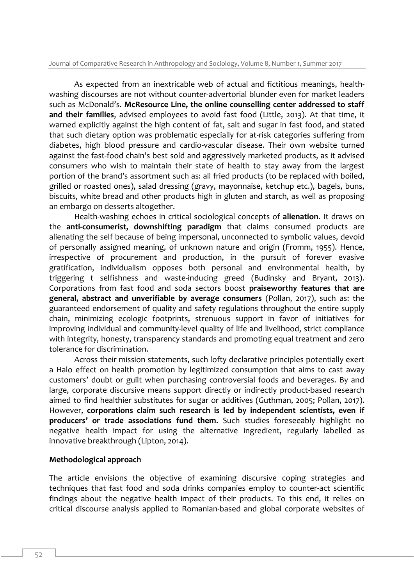As expected from an inextricable web of actual and fictitious meanings, healthwashing discourses are not without counter-advertorial blunder even for market leaders such as McDonald's. **McResource Line, the online counselling center addressed to staff and their families**, advised employees to avoid fast food (Little, 2013). At that time, it warned explicitly against the high content of fat, salt and sugar in fast food, and stated that such dietary option was problematic especially for at-risk categories suffering from diabetes, high blood pressure and cardio-vascular disease. Their own website turned against the fast-food chain's best sold and aggressively marketed products, as it advised consumers who wish to maintain their state of health to stay away from the largest portion of the brand's assortment such as: all fried products (to be replaced with boiled, grilled or roasted ones), salad dressing (gravy, mayonnaise, ketchup etc.), bagels, buns, biscuits, white bread and other products high in gluten and starch, as well as proposing an embargo on desserts altogether.

Health-washing echoes in critical sociological concepts of **alienation**. It draws on the **anti-consumerist, downshifting paradigm** that claims consumed products are alienating the self because of being impersonal, unconnected to symbolic values, devoid of personally assigned meaning, of unknown nature and origin (Fromm, 1955). Hence, irrespective of procurement and production, in the pursuit of forever evasive gratification, individualism opposes both personal and environmental health, by triggering t selfishness and waste-inducing greed (Budinsky and Bryant, 2013). Corporations from fast food and soda sectors boost **praiseworthy features that are general, abstract and unverifiable by average consumers** (Pollan, 2017), such as: the guaranteed endorsement of quality and safety regulations throughout the entire supply chain, minimizing ecologic footprints, strenuous support in favor of initiatives for improving individual and community-level quality of life and livelihood, strict compliance with integrity, honesty, transparency standards and promoting equal treatment and zero tolerance for discrimination.

Across their mission statements, such lofty declarative principles potentially exert a Halo effect on health promotion by legitimized consumption that aims to cast away customers' doubt or guilt when purchasing controversial foods and beverages. By and large, corporate discursive means support directly or indirectly product-based research aimed to find healthier substitutes for sugar or additives (Guthman, 2005; Pollan, 2017). However, **corporations claim such research is led by independent scientists, even if producers' or trade associations fund them**. Such studies foreseeably highlight no negative health impact for using the alternative ingredient, regularly labelled as innovative breakthrough (Lipton, 2014).

## **Methodological approach**

The article envisions the objective of examining discursive coping strategies and techniques that fast food and soda drinks companies employ to counter-act scientific findings about the negative health impact of their products. To this end, it relies on critical discourse analysis applied to Romanian-based and global corporate websites of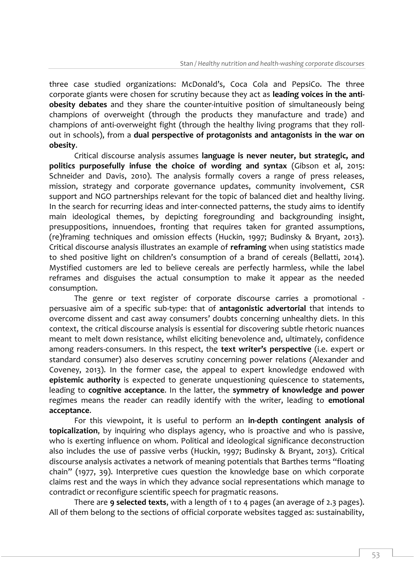three case studied organizations: McDonald's, Coca Cola and PepsiCo. The three corporate giants were chosen for scrutiny because they act as **leading voices in the antiobesity debates** and they share the counter-intuitive position of simultaneously being champions of overweight (through the products they manufacture and trade) and champions of anti-overweight fight (through the healthy living programs that they rollout in schools), from a **dual perspective of protagonists and antagonists in the war on obesity**.

Critical discourse analysis assumes **language is never neuter, but strategic, and politics purposefully infuse the choice of wording and syntax** (Gibson et al, 2015: Schneider and Davis, 2010). The analysis formally covers a range of press releases, mission, strategy and corporate governance updates, community involvement, CSR support and NGO partnerships relevant for the topic of balanced diet and healthy living. In the search for recurring ideas and inter-connected patterns, the study aims to identify main ideological themes, by depicting foregrounding and backgrounding insight, presuppositions, innuendoes, fronting that requires taken for granted assumptions, (re)framing techniques and omission effects (Huckin, 1997; Budinsky & Bryant, 2013). Critical discourse analysis illustrates an example of **reframing** when using statistics made to shed positive light on children's consumption of a brand of cereals (Bellatti, 2014). Mystified customers are led to believe cereals are perfectly harmless, while the label reframes and disguises the actual consumption to make it appear as the needed consumption.

The genre or text register of corporate discourse carries a promotional persuasive aim of a specific sub-type: that of **antagonistic advertorial** that intends to overcome dissent and cast away consumers' doubts concerning unhealthy diets. In this context, the critical discourse analysis is essential for discovering subtle rhetoric nuances meant to melt down resistance, whilst eliciting benevolence and, ultimately, confidence among readers-consumers. In this respect, the **text writer's perspective** (i.e. expert or standard consumer) also deserves scrutiny concerning power relations (Alexander and Coveney, 2013). In the former case, the appeal to expert knowledge endowed with **epistemic authority** is expected to generate unquestioning quiescence to statements, leading to **cognitive acceptance**. In the latter, the **symmetry of knowledge and power** regimes means the reader can readily identify with the writer, leading to **emotional acceptance**.

For this viewpoint, it is useful to perform an **in-depth contingent analysis of topicalization**, by inquiring who displays agency, who is proactive and who is passive, who is exerting influence on whom. Political and ideological significance deconstruction also includes the use of passive verbs (Huckin, 1997; Budinsky & Bryant, 2013). Critical discourse analysis activates a network of meaning potentials that Barthes terms "floating chain" (1977, 39). Interpretive cues question the knowledge base on which corporate claims rest and the ways in which they advance social representations which manage to contradict or reconfigure scientific speech for pragmatic reasons.

There are **9 selected texts**, with a length of 1 to 4 pages (an average of 2.3 pages). All of them belong to the sections of official corporate websites tagged as: sustainability,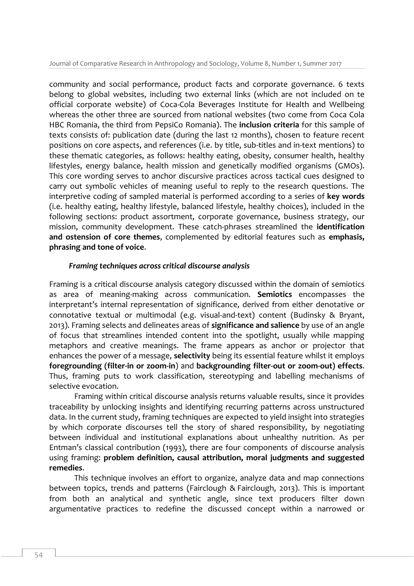community and social performance, product facts and corporate governance. 6 texts belong to global websites, including two external links (which are not included on te official corporate website) of Coca-Cola Beverages Institute for Health and Wellbeing whereas the other three are sourced from national websites (two come from Coca Cola HBC Romania, the third from PepsiCo Romania). The **inclusion criteria** for this sample of texts consists of: publication date (during the last 12 months), chosen to feature recent positions on core aspects, and references (i.e. by title, sub-titles and in-text mentions) to these thematic categories, as follows: healthy eating, obesity, consumer health, healthy lifestyles, energy balance, health mission and genetically modified organisms (GMOs). This core wording serves to anchor discursive practices across tactical cues designed to carry out symbolic vehicles of meaning useful to reply to the research questions. The interpretive coding of sampled material is performed according to a series of **key words** (i.e. healthy eating, healthy lifestyle, balanced lifestyle, healthy choices), included in the following sections: product assortment, corporate governance, business strategy, our mission, community development. These catch-phrases streamlined the **identification and ostension of core themes**, complemented by editorial features such as **emphasis, phrasing and tone of voice**.

### *Framing techniques across critical discourse analysis*

Framing is a critical discourse analysis category discussed within the domain of semiotics as area of meaning-making across communication. **Semiotics** encompasses the interpretant's internal representation of significance, derived from either denotative or connotative textual or multimodal (e.g. visual-and-text) content (Budinsky & Bryant, 2013). Framing selects and delineates areas of **significance and salience** by use of an angle of focus that streamlines intended content into the spotlight, usually while mapping metaphors and creative meanings. The frame appears as anchor or projector that enhances the power of a message, **selectivity** being its essential feature whilst it employs **foregrounding (filter-in or zoom-in**) and **backgrounding filter-out or zoom-out) effects**. Thus, framing puts to work classification, stereotyping and labelling mechanisms of selective evocation.

Framing within critical discourse analysis returns valuable results, since it provides traceability by unlocking insights and identifying recurring patterns across unstructured data. In the current study, framing techniques are expected to yield insight into strategies by which corporate discourses tell the story of shared responsibility, by negotiating between individual and institutional explanations about unhealthy nutrition. As per Entman's classical contribution (1993), there are four components of discourse analysis using framing: **problem definition, causal attribution, moral judgments and suggested remedies**.

This technique involves an effort to organize, analyze data and map connections between topics, trends and patterns (Fairclough & Fairclough, 2013). This is important from both an analytical and synthetic angle, since text producers filter down argumentative practices to redefine the discussed concept within a narrowed or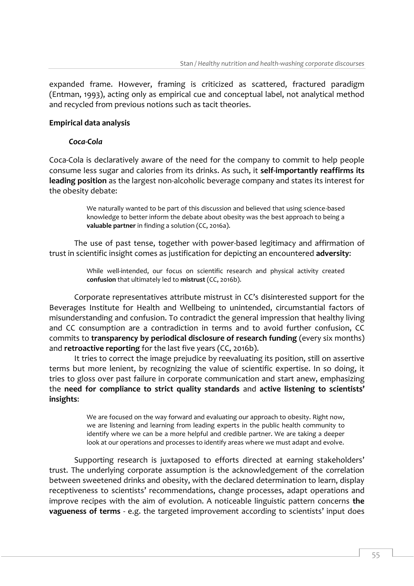expanded frame. However, framing is criticized as scattered, fractured paradigm (Entman, 1993), acting only as empirical cue and conceptual label, not analytical method and recycled from previous notions such as tacit theories.

## **Empirical data analysis**

## *Coca-Cola*

Coca-Cola is declaratively aware of the need for the company to commit to help people consume less sugar and calories from its drinks. As such, it **self-importantly reaffirms its leading position** as the largest non-alcoholic beverage company and states its interest for the obesity debate:

> We naturally wanted to be part of this discussion and believed that using science-based knowledge to better inform the debate about obesity was the best approach to being a **valuable partner** in finding a solution (CC, 2016a).

The use of past tense, together with power-based legitimacy and affirmation of trust in scientific insight comes as justification for depicting an encountered **adversity**:

> While well-intended, our focus on scientific research and physical activity created **confusion** that ultimately led to **mistrust** (CC, 2016b).

Corporate representatives attribute mistrust in CC's disinterested support for the Beverages Institute for Health and Wellbeing to unintended, circumstantial factors of misunderstanding and confusion. To contradict the general impression that healthy living and CC consumption are a contradiction in terms and to avoid further confusion, CC commits to **transparency by periodical disclosure of research funding** (every six months) and **retroactive reporting** for the last five years (CC, 2016b).

It tries to correct the image prejudice by reevaluating its position, still on assertive terms but more lenient, by recognizing the value of scientific expertise. In so doing, it tries to gloss over past failure in corporate communication and start anew, emphasizing the **need for compliance to strict quality standards** and **active listening to scientists' insights**:

> We are focused on the way forward and evaluating our approach to obesity. Right now, we are listening and learning from leading experts in the public health community to identify where we can be a more helpful and credible partner. We are taking a deeper look at our operations and processes to identify areas where we must adapt and evolve.

Supporting research is juxtaposed to efforts directed at earning stakeholders' trust. The underlying corporate assumption is the acknowledgement of the correlation between sweetened drinks and obesity, with the declared determination to learn, display receptiveness to scientists' recommendations, change processes, adapt operations and improve recipes with the aim of evolution. A noticeable linguistic pattern concerns **the vagueness of terms** - e.g. the targeted improvement according to scientists' input does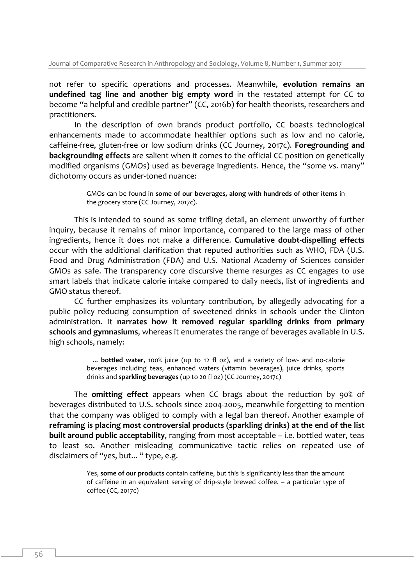not refer to specific operations and processes. Meanwhile, **evolution remains an undefined tag line and another big empty word** in the restated attempt for CC to become "a helpful and credible partner" (CC, 2016b) for health theorists, researchers and practitioners.

In the description of own brands product portfolio, CC boasts technological enhancements made to accommodate healthier options such as low and no calorie, caffeine-free, gluten-free or low sodium drinks (CC Journey, 2017c). **Foregrounding and backgrounding effects** are salient when it comes to the official CC position on genetically modified organisms (GMOs) used as beverage ingredients. Hence, the "some vs. many" dichotomy occurs as under-toned nuance:

> GMOs can be found in **some of our beverages, along with hundreds of other items** in the grocery store (CC Journey, 2017c).

This is intended to sound as some trifling detail, an element unworthy of further inquiry, because it remains of minor importance, compared to the large mass of other ingredients, hence it does not make a difference. **Cumulative doubt-dispelling effects** occur with the additional clarification that reputed authorities such as WHO, FDA (U.S. Food and Drug Administration (FDA) and U.S. National Academy of Sciences consider GMOs as safe. The transparency core discursive theme resurges as CC engages to use smart labels that indicate calorie intake compared to daily needs, list of ingredients and GMO status thereof.

CC further emphasizes its voluntary contribution, by allegedly advocating for a public policy reducing consumption of sweetened drinks in schools under the Clinton administration. It **narrates how it removed regular sparkling drinks from primary schools and gymnasiums**, whereas it enumerates the range of beverages available in U.S. high schools, namely:

> ... **bottled water**, 100% juice (up to 12 fl oz), and a variety of low- and no-calorie beverages including teas, enhanced waters (vitamin beverages), juice drinks, sports drinks and **sparkling beverages** (up to 20 fl oz) (CC Journey, 2017c)

The **omitting effect** appears when CC brags about the reduction by 90% of beverages distributed to U.S. schools since 2004-2005, meanwhile forgetting to mention that the company was obliged to comply with a legal ban thereof. Another example of **reframing is placing most controversial products (sparkling drinks) at the end of the list built around public acceptability**, ranging from most acceptable – i.e. bottled water, teas to least so. Another misleading communicative tactic relies on repeated use of disclaimers of "yes, but... " type, e.g.

> Yes, **some of our products** contain caffeine, but this is significantly less than the amount of caffeine in an equivalent serving of drip-style brewed coffee. – a particular type of coffee (CC, 2017c)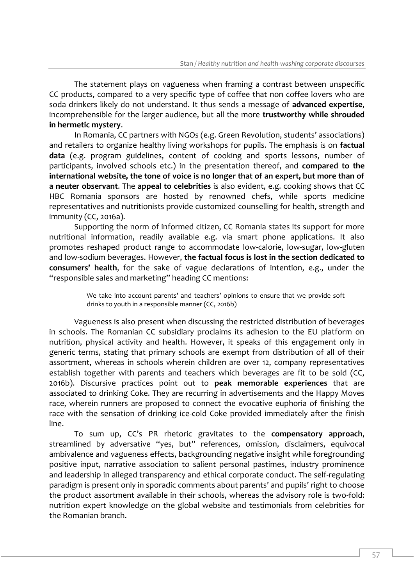The statement plays on vagueness when framing a contrast between unspecific CC products, compared to a very specific type of coffee that non coffee lovers who are soda drinkers likely do not understand. It thus sends a message of **advanced expertise**, incomprehensible for the larger audience, but all the more **trustworthy while shrouded in hermetic mystery**.

In Romania, CC partners with NGOs (e.g. Green Revolution, students' associations) and retailers to organize healthy living workshops for pupils. The emphasis is on **factual data** (e.g. program guidelines, content of cooking and sports lessons, number of participants, involved schools etc.) in the presentation thereof, and **compared to the international website, the tone of voice is no longer that of an expert, but more than of a neuter observant**. The **appeal to celebrities** is also evident, e.g. cooking shows that CC HBC Romania sponsors are hosted by renowned chefs, while sports medicine representatives and nutritionists provide customized counselling for health, strength and immunity (CC, 2016a).

Supporting the norm of informed citizen, CC Romania states its support for more nutritional information, readily available e.g. via smart phone applications. It also promotes reshaped product range to accommodate low-calorie, low-sugar, low-gluten and low-sodium beverages. However, **the factual focus is lost in the section dedicated to consumers' health**, for the sake of vague declarations of intention, e.g., under the "responsible sales and marketing" heading CC mentions:

> We take into account parents' and teachers' opinions to ensure that we provide soft drinks to youth in a responsible manner (CC, 2016b)

Vagueness is also present when discussing the restricted distribution of beverages in schools. The Romanian CC subsidiary proclaims its adhesion to the EU platform on nutrition, physical activity and health. However, it speaks of this engagement only in generic terms, stating that primary schools are exempt from distribution of all of their assortment, whereas in schools wherein children are over 12, company representatives establish together with parents and teachers which beverages are fit to be sold (CC, 2016b). Discursive practices point out to **peak memorable experiences** that are associated to drinking Coke. They are recurring in advertisements and the Happy Moves race, wherein runners are proposed to connect the evocative euphoria of finishing the race with the sensation of drinking ice-cold Coke provided immediately after the finish line.

To sum up, CC's PR rhetoric gravitates to the **compensatory approach**, streamlined by adversative "yes, but" references, omission, disclaimers, equivocal ambivalence and vagueness effects, backgrounding negative insight while foregrounding positive input, narrative association to salient personal pastimes, industry prominence and leadership in alleged transparency and ethical corporate conduct. The self-regulating paradigm is present only in sporadic comments about parents' and pupils' right to choose the product assortment available in their schools, whereas the advisory role is two-fold: nutrition expert knowledge on the global website and testimonials from celebrities for the Romanian branch.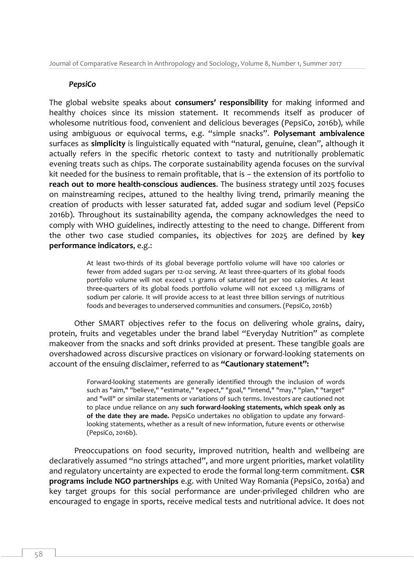#### *PepsiCo*

The global website speaks about **consumers' responsibility** for making informed and healthy choices since its mission statement. It recommends itself as producer of wholesome nutritious food, convenient and delicious beverages (PepsiCo, 2016b), while using ambiguous or equivocal terms, e.g. "simple snacks". **Polysemant ambivalence** surfaces as **simplicity** is linguistically equated with "natural, genuine, clean", although it actually refers in the specific rhetoric context to tasty and nutritionally problematic evening treats such as chips. The corporate sustainability agenda focuses on the survival kit needed for the business to remain profitable, that is – the extension of its portfolio to **reach out to more health-conscious audiences**. The business strategy until 2025 focuses on mainstreaming recipes, attuned to the healthy living trend, primarily meaning the creation of products with lesser saturated fat, added sugar and sodium level (PepsiCo 2016b). Throughout its sustainability agenda, the company acknowledges the need to comply with WHO guidelines, indirectly attesting to the need to change. Different from the other two case studied companies, its objectives for 2025 are defined by **key performance indicators**, e.g.:

> At least two-thirds of its global beverage portfolio volume will have 100 calories or fewer from added sugars per 12-oz serving. At least three-quarters of its global foods portfolio volume will not exceed 1.1 grams of saturated fat per 100 calories. At least three-quarters of its global foods portfolio volume will not exceed 1.3 milligrams of sodium per calorie. It will provide access to at least three billion servings of nutritious foods and beverages to underserved communities and consumers. (PepsiCo, 2016b)

Other SMART objectives refer to the focus on delivering whole grains, dairy, protein, fruits and vegetables under the brand label "Everyday Nutrition" as complete makeover from the snacks and soft drinks provided at present. These tangible goals are overshadowed across discursive practices on visionary or forward-looking statements on account of the ensuing disclaimer, referred to as **"Cautionary statement":**

> Forward-looking statements are generally identified through the inclusion of words such as "aim," "believe," "estimate," "expect," "goal," "intend," "may," "plan," "target" and "will" or similar statements or variations of such terms. Investors are cautioned not to place undue reliance on any **such forward-looking statements, which speak only as of the date they are made.** PepsiCo undertakes no obligation to update any forwardlooking statements, whether as a result of new information, future events or otherwise (PepsiCo, 2016b).

Preoccupations on food security, improved nutrition, health and wellbeing are declaratively assumed "no strings attached", and more urgent priorities, market volatility and regulatory uncertainty are expected to erode the formal long-term commitment. **CSR programs include NGO partnerships** e.g. with United Way Romania (PepsiCo, 2016a) and key target groups for this social performance are under-privileged children who are encouraged to engage in sports, receive medical tests and nutritional advice. It does not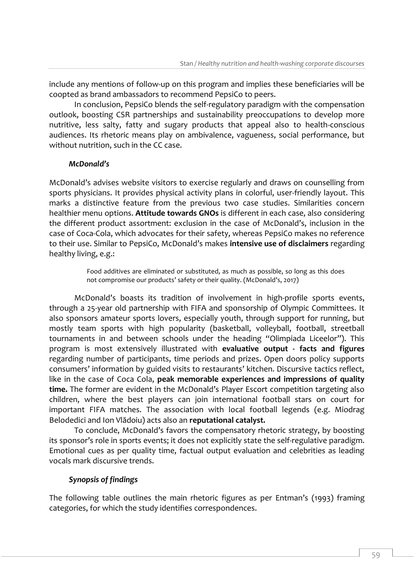include any mentions of follow-up on this program and implies these beneficiaries will be coopted as brand ambassadors to recommend PepsiCo to peers.

In conclusion, PepsiCo blends the self-regulatory paradigm with the compensation outlook, boosting CSR partnerships and sustainability preoccupations to develop more nutritive, less salty, fatty and sugary products that appeal also to health-conscious audiences. Its rhetoric means play on ambivalence, vagueness, social performance, but without nutrition, such in the CC case.

#### *McDonald's*

McDonald's advises website visitors to exercise regularly and draws on counselling from sports physicians. It provides physical activity plans in colorful, user-friendly layout. This marks a distinctive feature from the previous two case studies. Similarities concern healthier menu options. **Attitude towards GNOs** is different in each case, also considering the different product assortment: exclusion in the case of McDonald's, inclusion in the case of Coca-Cola, which advocates for their safety, whereas PepsiCo makes no reference to their use. Similar to PepsiCo, McDonald's makes **intensive use of disclaimers** regarding healthy living, e.g.:

> Food additives are eliminated or substituted, as much as possible, so long as this does not compromise our products' safety or their quality. (McDonald's, 2017)

McDonald's boasts its tradition of involvement in high-profile sports events, through a 25-year old partnership with FIFA and sponsorship of Olympic Committees. It also sponsors amateur sports lovers, especially youth, through support for running, but mostly team sports with high popularity (basketball, volleyball, football, streetball tournaments in and between schools under the heading "Olimpiada Liceelor"). This program is most extensively illustrated with **evaluative output - facts and figures** regarding number of participants, time periods and prizes. Open doors policy supports consumers' information by guided visits to restaurants' kitchen. Discursive tactics reflect, like in the case of Coca Cola, **peak memorable experiences and impressions of quality time.** The former are evident in the McDonald's Player Escort competition targeting also children, where the best players can join international football stars on court for important FIFA matches. The association with local football legends (e.g. Miodrag Belodedici and Ion Vlădoiu) acts also an **reputational catalyst.**

To conclude, McDonald's favors the compensatory rhetoric strategy, by boosting its sponsor's role in sports events; it does not explicitly state the self-regulative paradigm. Emotional cues as per quality time, factual output evaluation and celebrities as leading vocals mark discursive trends.

#### *Synopsis of findings*

The following table outlines the main rhetoric figures as per Entman's (1993) framing categories, for which the study identifies correspondences.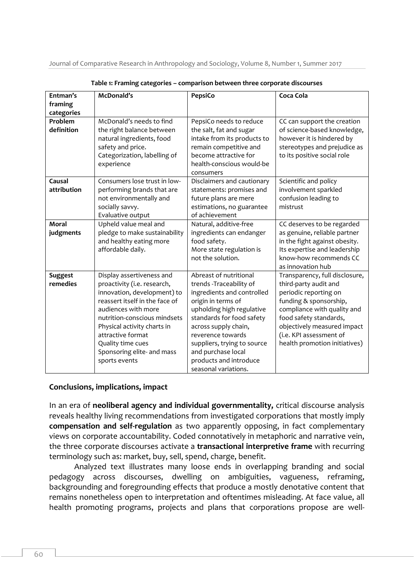Journal of Comparative Research in Anthropology and Sociology, Volume 8, Number 1, Summer 2017

| Entman's                   | McDonald's                                                                                                                                                                                                                                                                                               | PepsiCo                                                                                                                                                                                                                                                                                                             | Coca Cola                                                                                                                                                                                                                                                      |
|----------------------------|----------------------------------------------------------------------------------------------------------------------------------------------------------------------------------------------------------------------------------------------------------------------------------------------------------|---------------------------------------------------------------------------------------------------------------------------------------------------------------------------------------------------------------------------------------------------------------------------------------------------------------------|----------------------------------------------------------------------------------------------------------------------------------------------------------------------------------------------------------------------------------------------------------------|
| framing<br>categories      |                                                                                                                                                                                                                                                                                                          |                                                                                                                                                                                                                                                                                                                     |                                                                                                                                                                                                                                                                |
| Problem<br>definition      | McDonald's needs to find<br>the right balance between<br>natural ingredients, food<br>safety and price.<br>Categorization, labelling of<br>experience                                                                                                                                                    | PepsiCo needs to reduce<br>the salt, fat and sugar<br>intake from its products to<br>remain competitive and<br>become attractive for<br>health-conscious would-be<br>consumers                                                                                                                                      | CC can support the creation<br>of science-based knowledge,<br>however it is hindered by<br>stereotypes and prejudice as<br>to its positive social role                                                                                                         |
| Causal<br>attribution      | Consumers lose trust in low-<br>performing brands that are<br>not environmentally and<br>socially savvy.<br>Evaluative output                                                                                                                                                                            | Disclaimers and cautionary<br>statements: promises and<br>future plans are mere<br>estimations, no guarantee<br>of achievement                                                                                                                                                                                      | Scientific and policy<br>involvement sparkled<br>confusion leading to<br>mistrust                                                                                                                                                                              |
| Moral<br>judgments         | Upheld value meal and<br>pledge to make sustainability<br>and healthy eating more<br>affordable daily.                                                                                                                                                                                                   | Natural, additive-free<br>ingredients can endanger<br>food safety.<br>More state regulation is<br>not the solution.                                                                                                                                                                                                 | CC deserves to be regarded<br>as genuine, reliable partner<br>in the fight against obesity.<br>Its expertise and leadership<br>know-how recommends CC<br>as innovation hub                                                                                     |
| <b>Suggest</b><br>remedies | Display assertiveness and<br>proactivity (i.e. research,<br>innovation, development) to<br>reassert itself in the face of<br>audiences with more<br>nutrition-conscious mindsets<br>Physical activity charts in<br>attractive format<br>Quality time cues<br>Sponsoring elite- and mass<br>sports events | Abreast of nutritional<br>trends -Traceability of<br>ingredients and controlled<br>origin in terms of<br>upholding high regulative<br>standards for food safety<br>across supply chain,<br>reverence towards<br>suppliers, trying to source<br>and purchase local<br>products and introduce<br>seasonal variations. | Transparency, full disclosure,<br>third-party audit and<br>periodic reporting on<br>funding & sponsorship,<br>compliance with quality and<br>food safety standards,<br>objectively measured impact<br>(i.e. KPI assessment of<br>health promotion initiatives) |

**Table 1: Framing categories – comparison between three corporate discourses**

#### **Conclusions, implications, impact**

In an era of **neoliberal agency and individual governmentality,** critical discourse analysis reveals healthy living recommendations from investigated corporations that mostly imply **compensation and self-regulation** as two apparently opposing, in fact complementary views on corporate accountability. Coded connotatively in metaphoric and narrative vein, the three corporate discourses activate a **transactional interpretive frame** with recurring terminology such as: market, buy, sell, spend, charge, benefit.

Analyzed text illustrates many loose ends in overlapping branding and social pedagogy across discourses, dwelling on ambiguities, vagueness, reframing, backgrounding and foregrounding effects that produce a mostly denotative content that remains nonetheless open to interpretation and oftentimes misleading. At face value, all health promoting programs, projects and plans that corporations propose are well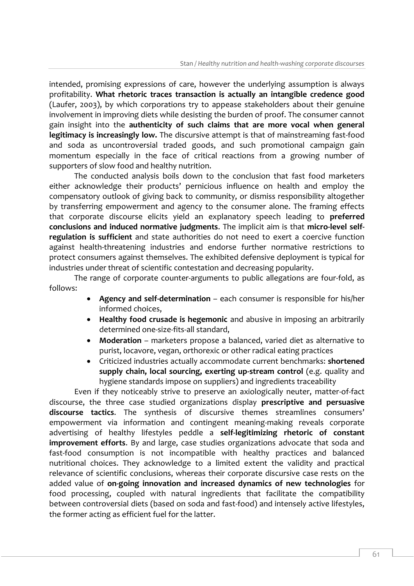intended, promising expressions of care, however the underlying assumption is always profitability. **What rhetoric traces transaction is actually an intangible credence good** (Laufer, 2003), by which corporations try to appease stakeholders about their genuine involvement in improving diets while desisting the burden of proof. The consumer cannot gain insight into the **authenticity of such claims that are more vocal when general legitimacy is increasingly low.** The discursive attempt is that of mainstreaming fast-food and soda as uncontroversial traded goods, and such promotional campaign gain momentum especially in the face of critical reactions from a growing number of supporters of slow food and healthy nutrition.

The conducted analysis boils down to the conclusion that fast food marketers either acknowledge their products' pernicious influence on health and employ the compensatory outlook of giving back to community, or dismiss responsibility altogether by transferring empowerment and agency to the consumer alone. The framing effects that corporate discourse elicits yield an explanatory speech leading to **preferred conclusions and induced normative judgments**. The implicit aim is that **micro-level selfregulation is sufficient** and state authorities do not need to exert a coercive function against health-threatening industries and endorse further normative restrictions to protect consumers against themselves. The exhibited defensive deployment is typical for industries under threat of scientific contestation and decreasing popularity.

The range of corporate counter-arguments to public allegations are four-fold, as follows:

- **Agency and self-determination** each consumer is responsible for his/her informed choices,
- **Healthy food crusade is hegemonic** and abusive in imposing an arbitrarily determined one-size-fits-all standard,
- **Moderation** marketers propose a balanced, varied diet as alternative to purist, locavore, vegan, orthorexic or other radical eating practices
- Criticized industries actually accommodate current benchmarks: **shortened supply chain, local sourcing, exerting up-stream control** (e.g. quality and hygiene standards impose on suppliers) and ingredients traceability

Even if they noticeably strive to preserve an axiologically neuter, matter-of-fact discourse, the three case studied organizations display **prescriptive and persuasive discourse tactics**. The synthesis of discursive themes streamlines consumers' empowerment via information and contingent meaning-making reveals corporate advertising of healthy lifestyles peddle a **self-legitimizing rhetoric of constant improvement efforts**. By and large, case studies organizations advocate that soda and fast-food consumption is not incompatible with healthy practices and balanced nutritional choices. They acknowledge to a limited extent the validity and practical relevance of scientific conclusions, whereas their corporate discursive case rests on the added value of **on-going innovation and increased dynamics of new technologies** for food processing, coupled with natural ingredients that facilitate the compatibility between controversial diets (based on soda and fast-food) and intensely active lifestyles, the former acting as efficient fuel for the latter.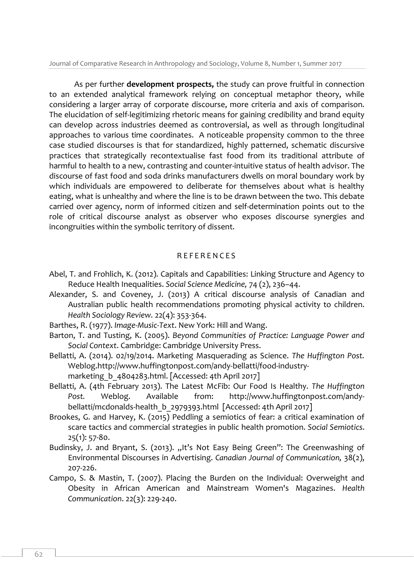Journal of Comparative Research in Anthropology and Sociology, Volume 8, Number 1, Summer 2017

As per further **development prospects,** the study can prove fruitful in connection to an extended analytical framework relying on conceptual metaphor theory, while considering a larger array of corporate discourse, more criteria and axis of comparison. The elucidation of self-legitimizing rhetoric means for gaining credibility and brand equity can develop across industries deemed as controversial, as well as through longitudinal approaches to various time coordinates. A noticeable propensity common to the three case studied discourses is that for standardized, highly patterned, schematic discursive practices that strategically recontextualise fast food from its traditional attribute of harmful to health to a new, contrasting and counter-intuitive status of health advisor. The discourse of fast food and soda drinks manufacturers dwells on moral boundary work by which individuals are empowered to deliberate for themselves about what is healthy eating, what is unhealthy and where the line is to be drawn between the two. This debate carried over agency, norm of informed citizen and self-determination points out to the role of critical discourse analyst as observer who exposes discourse synergies and incongruities within the symbolic territory of dissent.

## **REFERENCES**

- Abel, T. and Frohlich, K. (2012). Capitals and Capabilities: Linking Structure and Agency to Reduce Health Inequalities. *Social Science Medicine,* 74 (2), 236–44.
- Alexander, S. and Coveney, J. (2013) A critical discourse analysis of Canadian and Australian public health recommendations promoting physical activity to children. *Health Sociology Review.* 22(4): 353-364.
- Barthes, R. (1977). *Image-Music-Text*. New York: Hill and Wang.
- Barton, T. and Tusting, K. (2005). *Beyond Communities of Practice: Language Power and Social Context*. Cambridge: Cambridge University Press.
- Bellatti, A. (2014). 02/19/2014. Marketing Masquerading as Science. *The Huffington Post.*  Weblog[.http://www.huffingtonpost.com/andy-bellatti/food-industry](http://www.huffingtonpost.com/andy-bellatti/food-industry-marketing_b_4804283.html)marketing b 4804283.html. [Accessed: 4th April 2017]
- Bellatti, A. (4th February 2013). The Latest McFib: Our Food Is Healthy. *The Huffington Post.* Weblog. Available from: [http://www.huffingtonpost.com/andy](http://www.huffingtonpost.com/andy-bellatti/mcdonalds-health_b_2979393.html)[bellatti/mcdonalds-health\\_b\\_2979393.html](http://www.huffingtonpost.com/andy-bellatti/mcdonalds-health_b_2979393.html) [Accessed: 4th April 2017]
- Brookes, G. and Harvey, K. (2015) Peddling a semiotics of fear: a critical examination of scare tactics and commercial strategies in public health promotion. *Social Semiotics*. 25(1): 57-80.
- Budinsky, J. and Bryant, S. (2013). "It's Not Easy Being Green": The Greenwashing of Environmental Discourses in Advertising. *Canadian Journal of Communication,* 38(2), 207-226.
- Campo, S. & Mastin, T. (2007). Placing the Burden on the Individual: Overweight and Obesity in African American and Mainstream Women's Magazines. *Health Communication*. 22(3): 229-240.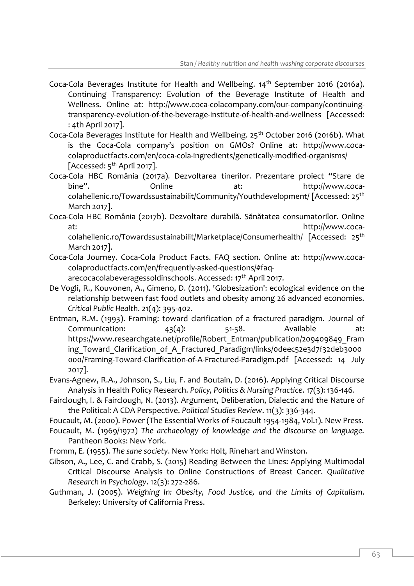- Coca-Cola Beverages Institute for Health and Wellbeing. 14<sup>th</sup> September 2016 (2016a). Continuing Transparency: Evolution of the Beverage Institute of Health and Wellness. Online at: [http://www.coca-colacompany.com/our-company/continuing](http://www.coca-colacompany.com/our-company/continuing-transparency-evolution-of-the-beverage-institute-of-health-and-wellness)[transparency-evolution-of-the-beverage-institute-of-health-and-wellness](http://www.coca-colacompany.com/our-company/continuing-transparency-evolution-of-the-beverage-institute-of-health-and-wellness) [Accessed: : 4th April 2017].
- Coca-Cola Beverages Institute for Health and Wellbeing. 25<sup>th</sup> October 2016 (2016b). What is the Coca-Cola company's position on GMOs? Online at: [http://www.coca](http://www.coca-colaproductfacts.com/en/coca-cola-ingredients/genetically-modified-organisms/)[colaproductfacts.com/en/coca-cola-ingredients/genetically-modified-organisms/](http://www.coca-colaproductfacts.com/en/coca-cola-ingredients/genetically-modified-organisms/) [Accessed:  $5<sup>th</sup>$  April 2017].
- Coca-Cola HBC România (2017a). Dezvoltarea tinerilor. Prezentare proiect "Stare de bine". Chline at: [http://www.coca](http://www.coca-colahellenic.ro/Towardssustainabilit/Community/Youthdevelopment/)[colahellenic.ro/Towardssustainabilit/Community/Youthdevelopment/](http://www.coca-colahellenic.ro/Towardssustainabilit/Community/Youthdevelopment/) [Accessed: 25<sup>th</sup> March 2017].
- Coca-Cola HBC România (2017b). Dezvoltare durabilă. Sănătatea consumatorilor. Online at: [http://www.coca](http://www.coca-colahellenic.ro/Towardssustainabilit/Marketplace/Consumerhealth/)[colahellenic.ro/Towardssustainabilit/Marketplace/Consumerhealth/](http://www.coca-colahellenic.ro/Towardssustainabilit/Marketplace/Consumerhealth/) [Accessed: 25<sup>th</sup> March 2017].
- Coca-Cola Journey. Coca-Cola Product Facts. FAQ section. Online at: [http://www.coca](http://www.coca-colaproductfacts.com/en/frequently-asked-questions/#faq-arecocacolabeveragessoldinschools)[colaproductfacts.com/en/frequently-asked-questions/#faq](http://www.coca-colaproductfacts.com/en/frequently-asked-questions/#faq-arecocacolabeveragessoldinschools)
	- [arecocacolabeveragessoldinschools.](http://www.coca-colaproductfacts.com/en/frequently-asked-questions/#faq-arecocacolabeveragessoldinschools) Accessed: 17th April 2017.
- De Vogli, R., Kouvonen, A., Gimeno, D. (2011). 'Globesization': ecological evidence on the relationship between fast food outlets and obesity among 26 advanced economies. *Critical Public Health*. 21(4): 395-402.
- Entman, R.M. (1993). Framing: toward clarification of a fractured paradigm. Journal of Communication:  $43(4)$ :  $51-58$ . Available at: [https://www.researchgate.net/profile/Robert\\_Entman/publication/209409849\\_Fram](https://www.researchgate.net/profile/Robert_Entman/publication/209409849_Framing_Toward_Clarification_of_A_Fractured_Paradigm/links/0deec52e3d7f32deb3000000/Framing-Toward-Clarification-of-A-Fractured-Paradigm.pdf) ing Toward Clarification of A Fractured Paradigm/links/odeec52e3d7f32deb3000 [000/Framing-Toward-Clarification-of-A-Fractured-Paradigm.pdf](https://www.researchgate.net/profile/Robert_Entman/publication/209409849_Framing_Toward_Clarification_of_A_Fractured_Paradigm/links/0deec52e3d7f32deb3000000/Framing-Toward-Clarification-of-A-Fractured-Paradigm.pdf) [Accessed: 14 July 2017].
- Evans-Agnew, R.A., Johnson, S., Liu, F. and Boutain, D. (2016). Applying Critical Discourse Analysis in Health Policy Research. *Policy, Politics & Nursing Practice*. 17(3): 136-146.
- Fairclough, I. & Fairclough, N. (2013). Argument, Deliberation, Dialectic and the Nature of the Political: A CDA Perspective. *Political Studies Review*. 11(3): 336-344.
- Foucault, M. (2000). Power (The Essential Works of Foucault 1954-1984, Vol.1). New Press.
- Foucault, M. (1969/1972) *The archaeology of knowledge and the discourse on language.* Pantheon Books: New York.
- Fromm, E. (1955). *The sane society*. New York: Holt, Rinehart and Winston.
- Gibson, A., Lee, C. and Crabb, S. (2015) Reading Between the Lines: Applying Multimodal Critical Discourse Analysis to Online Constructions of Breast Cancer. *Qualitative Research in Psychology*. 12(3): 272-286.
- Guthman, J. (2005). *Weighing In: Obesity, Food Justice, and the Limits of Capitalism*. Berkeley: University of California Press.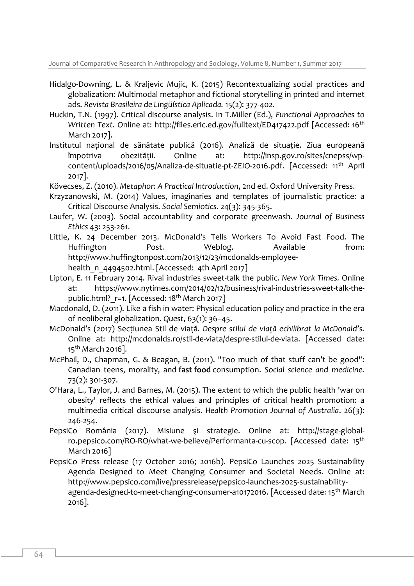- Hidalgo-Downing, L. & Kraljevic Mujic, K. (2015) Recontextualizing social practices and globalization: Multimodal metaphor and fictional storytelling in printed and internet ads. *Revista Brasileira de Lingüística Aplicada.* 15(2): 377-402.
- Huckin, T.N. (1997). Critical discourse analysis. In T.Miller (Ed.), *Functional Approaches to Written Text. Online at:<http://files.eric.ed.gov/fulltext/ED417422.pdf> [Accessed: 16<sup>th</sup>* March 2017].
- Institutul naţional de sănătate publică (2016). Analiză de situaţie. Ziua europeană împotriva obezităţii. Online at: [http://insp.gov.ro/sites/cnepss/wp](http://insp.gov.ro/sites/cnepss/wp-content/uploads/2016/05/Analiza-de-situatie-pt-ZEIO-2016.pdf)[content/uploads/2016/05/Analiza-de-situatie-pt-ZEIO-2016.pdf.](http://insp.gov.ro/sites/cnepss/wp-content/uploads/2016/05/Analiza-de-situatie-pt-ZEIO-2016.pdf) [Accessed: 11th April 2017].
- Kövecses, Z. (2010). *Metaphor: A Practical Introduction*, 2nd ed. Oxford University Press.
- Krzyzanowski, M. (2014) Values, imaginaries and templates of journalistic practice: a Critical Discourse Analysis. *Social Semiotics*. 24(3): 345-365.
- Laufer, W. (2003). Social accountability and corporate greenwash. *Journal of Business Ethics* 43: 253-261.
- Little, K. 24 December 2013. McDonald's Tells Workers To Avoid Fast Food. The Huffington Post. Weblog. Available from: [http://www.huffingtonpost.com/2013/12/23/mcdonalds-employee](http://www.huffingtonpost.com/2013/12/23/mcdonalds-employee-health_n_4494502.html)[health\\_n\\_4494502.html.](http://www.huffingtonpost.com/2013/12/23/mcdonalds-employee-health_n_4494502.html) [Accessed: 4th April 2017]
- Lipton, E. 11 February 2014. Rival industries sweet-talk the public. *New York Times.* Online at: [https://www.nytimes.com/2014/02/12/business/rival-industries-sweet-talk-the](https://www.nytimes.com/2014/02/12/business/rival-industries-sweet-talk-the-public.html?_r=1)public.html? r=1. [Accessed: 18<sup>th</sup> March 2017]
- Macdonald, D. (2011). Like a fish in water: Physical education policy and practice in the era of neoliberal globalization. *Quest*, 63(1): 36–45.
- McDonald's (2017) Secţiunea Stil de viaţă. *Despre stilul de viaţă echilibrat la McDonald's.*  Online at: [http://mcdonalds.ro/stil-de-viata/despre-stilul-de-viata.](http://mcdonalds.ro/stil-de-viata/despre-stilul-de-viata) [Accessed date: 15<sup>th</sup> March 2016].
- McPhail, D., Chapman, G. & Beagan, B. (2011). "Too much of that stuff can't be good": Canadian teens, morality, and **fast food** consumption. *Social science and medicine.*  73(2): 301-307.
- O'Hara, L., Taylor, J. and Barnes, M. (2015). The extent to which the public health 'war on obesity' reflects the ethical values and principles of critical health promotion: a multimedia critical discourse analysis. *Health Promotion Journal of Australia*. 26(3): 246-254.
- PepsiCo România (2017). Misiune şi strategie. Online at: [http://stage-global](http://stage-global-ro.pepsico.com/RO-RO/what-we-believe/Performanta-cu-scop)[ro.pepsico.com/RO-RO/what-we-believe/Performanta-cu-scop.](http://stage-global-ro.pepsico.com/RO-RO/what-we-believe/Performanta-cu-scop) [Accessed date: 15<sup>th</sup> March 2016]
- PepsiCo Press release (17 October 2016; 2016b). PepsiCo Launches 2025 Sustainability Agenda Designed to Meet Changing Consumer and Societal Needs. Online at: [http://www.pepsico.com/live/pressrelease/pepsico-launches-2025-sustainability](http://www.pepsico.com/live/pressrelease/pepsico-launches-2025-sustainability-agenda-designed-to-meet-changing-consumer-a10172016)[agenda-designed-to-meet-changing-consumer-a10172016.](http://www.pepsico.com/live/pressrelease/pepsico-launches-2025-sustainability-agenda-designed-to-meet-changing-consumer-a10172016) [Accessed date: 15<sup>th</sup> March 2016].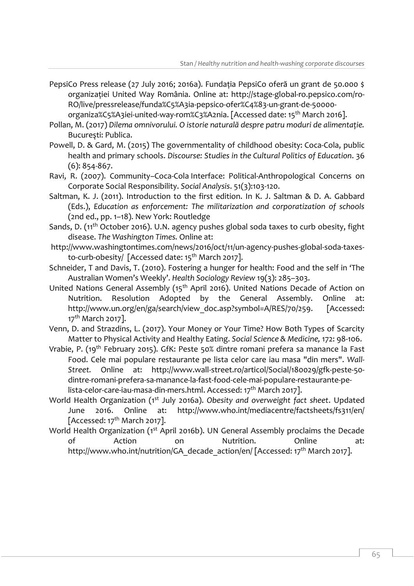- PepsiCo Press release (27 July 2016; 2016a). Fundaţia PepsiCo oferă un grant de 50.000 \$ organizaţiei United Way România. Online at: [http://stage-global-ro.pepsico.com/ro-](http://stage-global-ro.pepsico.com/ro-RO/live/pressrelease/funda%C5%A3ia-pepsico-ofer%C4%83-un-grant-de-50000-organiza%C5%A3iei-united-way-rom%C3%A2nia)[RO/live/pressrelease/funda%C5%A3ia-pepsico-ofer%C4%83-un-grant-de-50000](http://stage-global-ro.pepsico.com/ro-RO/live/pressrelease/funda%C5%A3ia-pepsico-ofer%C4%83-un-grant-de-50000-organiza%C5%A3iei-united-way-rom%C3%A2nia) [organiza%C5%A3iei-united-way-rom%C3%A2nia.](http://stage-global-ro.pepsico.com/ro-RO/live/pressrelease/funda%C5%A3ia-pepsico-ofer%C4%83-un-grant-de-50000-organiza%C5%A3iei-united-way-rom%C3%A2nia) [Accessed date: 15<sup>th</sup> March 2016].
- Pollan, M. (2017) *Dilema omnivorului. O istorie naturală despre patru moduri de alimentaţie.* Bucureşti: Publica.
- Powell, D. & Gard, M. (2015) The governmentality of childhood obesity: Coca-Cola, public health and primary schools. *Discourse: Studies in the Cultural Politics of Education*. 36 (6): 854-867.
- Ravi, R. (2007). Community–Coca-Cola Interface: Political-Anthropological Concerns on Corporate Social Responsibility. *Social Analysis*. 51(3):103-120.
- Saltman, K. J. (2011). Introduction to the first edition. In K. J. Saltman & D. A. Gabbard (Eds.), *Education as enforcement: The militarization and corporatization of schools* (2nd ed., pp. 1–18). New York: Routledge
- Sands, D. (11<sup>th</sup> October 2016). U.N. agency pushes global soda taxes to curb obesity, fight disease. *The Washington Times.* Online at:
- [http://www.washingtontimes.com/news/2016/oct/11/un-agency-pushes-global-soda-taxes](http://www.washingtontimes.com/news/2016/oct/11/un-agency-pushes-global-soda-taxes-to-curb-obesity/)[to-curb-obesity/](http://www.washingtontimes.com/news/2016/oct/11/un-agency-pushes-global-soda-taxes-to-curb-obesity/) [Accessed date: 15<sup>th</sup> March 2017].
- Schneider, T and Davis, T. (2010). Fostering a hunger for health: Food and the self in 'The Australian Women's Weekly'. *Health Sociology Review* 19(3): 285–303.
- United Nations General Assembly (15<sup>th</sup> April 2016). United Nations Decade of Action on Nutrition. Resolution Adopted by the General Assembly. Online at: [http://www.un.org/en/ga/search/view\\_doc.asp?symbol=A/RES/70/259.](http://www.un.org/en/ga/search/view_doc.asp?symbol=A/RES/70/259) [Accessed: 17<sup>th</sup> March 2017].
- Venn, D. and Strazdins, L. (2017). Your Money or Your Time? How Both Types of Scarcity Matter to Physical Activity and Healthy Eating. *Social Science & Medicine,* 172: 98-106.
- Vrabie, P. (19<sup>th</sup> February 2015). GfK: Peste 50% dintre romani prefera sa manance la Fast Food. Cele mai populare restaurante pe lista celor care iau masa "din mers". *Wall-Street.* Online at: [http://www.wall-street.ro/articol/Social/180029/gfk-peste-50](http://www.wall-street.ro/articol/Social/180029/gfk-peste-50-dintre-romani-prefera-sa-manance-la-fast-food-cele-mai-populare-restaurante-pe-lista-celor-care-iau-masa-din-mers.html) [dintre-romani-prefera-sa-manance-la-fast-food-cele-mai-populare-restaurante-pe](http://www.wall-street.ro/articol/Social/180029/gfk-peste-50-dintre-romani-prefera-sa-manance-la-fast-food-cele-mai-populare-restaurante-pe-lista-celor-care-iau-masa-din-mers.html)[lista-celor-care-iau-masa-din-mers.html.](http://www.wall-street.ro/articol/Social/180029/gfk-peste-50-dintre-romani-prefera-sa-manance-la-fast-food-cele-mai-populare-restaurante-pe-lista-celor-care-iau-masa-din-mers.html) Accessed: 17<sup>th</sup> March 2017].
- World Health Organization (1st July 2016a). *Obesity and overweight fact sheet*. Updated June 2016. Online at: <http://www.who.int/mediacentre/factsheets/fs311/en/> [Accessed:  $17<sup>th</sup>$  March 2017].
- World Health Organization (1<sup>st</sup> April 2016b). UN General Assembly proclaims the Decade of Action on Nutrition. Online at: http://www.who.int/nutrition/GA decade action/en/ [Accessed: 17<sup>th</sup> March 2017].